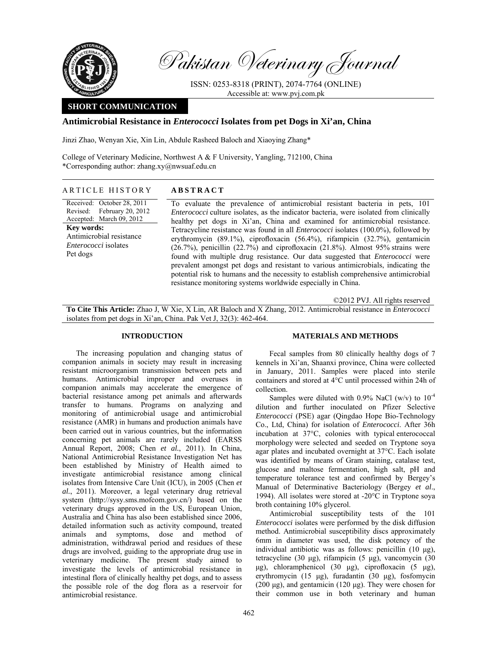

Pakistan Veterinary Journal

ISSN: 0253-8318 (PRINT), 2074-7764 (ONLINE) Accessible at: www.pvj.com.pk

# **SHORT COMMUNICATION**

## **Antimicrobial Resistance in** *Enterococci* **Isolates from pet Dogs in Xi'an, China**

Jinzi Zhao, Wenyan Xie, Xin Lin, Abdule Rasheed Baloch and Xiaoying Zhang\*

College of Veterinary Medicine, Northwest A  $\&$  F University, Yangling, 712100, China \*Corresponding author: zhang.xy@nwsuaf.edu.cn

#### ARTICLE HISTORY **ABSTRACT**

Received: October 28, 2011 Revised: Accepted: March 09, 2012 February 20, 2012 **Key words:** 

Antimicrobial resistance *Enterococci* isolates Pet dogs

To evaluate the prevalence of antimicrobial resistant bacteria in pets, 101 *Enterococci* culture isolates, as the indicator bacteria, were isolated from clinically healthy pet dogs in Xi'an, China and examined for antimicrobial resistance. Tetracycline resistance was found in all *Enterococci* isolates (100.0%), followed by erythromycin (89.1%), ciprofloxacin (56.4%), rifampicin (32.7%), gentamicin (26.7%), penicillin (22.7%) and ciprofloxacin (21.8%). Almost 95% strains were found with multiple drug resistance. Our data suggested that *Enterococci* were prevalent amongst pet dogs and resistant to various antimicrobials, indicating the potential risk to humans and the necessity to establish comprehensive antimicrobial resistance monitoring systems worldwide especially in China.

©2012 PVJ. All rights reserved

**To Cite This Article:** Zhao J, W Xie, X Lin, AR Baloch and X Zhang, 2012. Antimicrobial resistance in *Enterococci* isolates from pet dogs in Xi'an, China. Pak Vet J, 32(3): 462-464.

### **INTRODUCTION**

The increasing population and changing status of companion animals in society may result in increasing resistant microorganism transmission between pets and humans. Antimicrobial improper and overuses in companion animals may accelerate the emergence of bacterial resistance among pet animals and afterwards transfer to humans. Programs on analyzing and monitoring of antimicrobial usage and antimicrobial resistance (AMR) in humans and production animals have been carried out in various countries, but the information concerning pet animals are rarely included (EARSS Annual Report, 2008; Chen *et al.*, 2011). In China, National Antimicrobial Resistance Investigation Net has been established by Ministry of Health aimed to investigate antimicrobial resistance among clinical isolates from Intensive Care Unit (ICU), in 2005 (Chen *et al.*, 2011). Moreover, a legal veterinary drug retrieval system (http://sysy.sms.mofcom.gov.cn/) based on the veterinary drugs approved in the US, European Union, Australia and China has also been established since 2006, detailed information such as activity compound, treated animals and symptoms, dose and method of administration, withdrawal period and residues of these drugs are involved, guiding to the appropriate drug use in veterinary medicine. The present study aimed to investigate the levels of antimicrobial resistance in intestinal flora of clinically healthy pet dogs, and to assess the possible role of the dog flora as a reservoir for antimicrobial resistance.

### **MATERIALS AND METHODS**

Fecal samples from 80 clinically healthy dogs of 7 kennels in Xi'an, Shaanxi province, China were collected in January, 2011. Samples were placed into sterile containers and stored at 4°C until processed within 24h of collection.

Samples were diluted with  $0.9\%$  NaCl (w/v) to  $10^{-4}$ dilution and further inoculated on Pfizer Selective *Enterococci* (PSE) agar (Qingdao Hope Bio-Technology Co., Ltd, China) for isolation of *Enterococci*. After 36h incubation at 37°C, colonies with typical enterococcal morphology were selected and seeded on Tryptone soya agar plates and incubated overnight at 37°C. Each isolate was identified by means of Gram staining, catalase test, glucose and maltose fermentation, high salt, pH and temperature tolerance test and confirmed by Bergey's Manual of Determinative Bacteriology (Bergey *et al*., 1994). All isolates were stored at -20°C in Tryptone soya broth containing 10% glycerol.

Antimicrobial susceptibility tests of the 101 *Enterococci* isolates were performed by the disk diffusion method. Antimicrobial susceptibility discs approximately 6mm in diameter was used, the disk potency of the individual antibiotic was as follows: penicillin (10 µg), tetracycline (30 µg), rifampicin (5 µg), vancomycin (30  $\mu$ g), chloramphenicol (30  $\mu$ g), ciprofloxacin (5  $\mu$ g), erythromycin (15 µg), furadantin (30 µg), fosfomycin  $(200 \mu g)$ , and gentamicin  $(120 \mu g)$ . They were chosen for their common use in both veterinary and human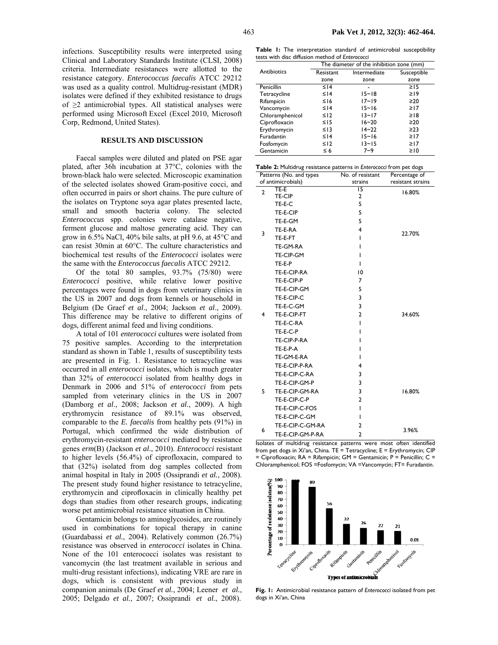infections. Susceptibility results were interpreted using Clinical and Laboratory Standards Institute (CLSI, 2008) criteria. Intermediate resistances were allotted to the resistance category. *Enterococcus faecalis* ATCC 29212 was used as a quality control. Multidrug-resistant (MDR) isolates were defined if they exhibited resistance to drugs of  $\geq$ 2 antimicrobial types. All statistical analyses were performed using Microsoft Excel (Excel 2010, Microsoft Corp, Redmond, United States).

#### **RESULTS AND DISCUSSION**

Faecal samples were diluted and plated on PSE agar plated, after 36h incubation at 37°C, colonies with the brown-black halo were selected. Microscopic examination of the selected isolates showed Gram-positive cocci, and often occurred in pairs or short chains. The pure culture of the isolates on Tryptone soya agar plates presented lacte, small and smooth bacteria colony. The selected *Enterococcus* spp. colonies were catalase negative, ferment glucose and maltose generating acid. They can grow in 6.5% NaCl, 40% bile salts, at pH 9.6, at 45°C and can resist 30min at 60°C. The culture characteristics and biochemical test results of the *Enterococci* isolates were the same with the *Enterococcus faecalis* ATCC 29212.

Of the total 80 samples, 93.7% (75/80) were *Enterococci* positive, while relative lower positive percentages were found in dogs from veterinary clinics in the US in 2007 and dogs from kennels or household in Belgium (De Graef *et al*., 2004; Jackson *et al*., 2009). This difference may be relative to different origins of dogs, different animal feed and living conditions.

A total of 101 *enterococci* cultures were isolated from 75 positive samples. According to the interpretation standard as shown in Table 1, results of susceptibility tests are presented in Fig. 1. Resistance to tetracycline was occurred in all *enterococci* isolates, which is much greater than 32% of *enterococci* isolated from healthy dogs in Denmark in 2006 and 51% of *enterococci* from pets sampled from veterinary clinics in the US in 2007 (Damborg *et al*., 2008; Jackson *et al*., 2009). A high erythromycin resistance of 89.1% was observed, comparable to the *E. faecalis* from healthy pets (91%) in Portugal, which confirmed the wide distribution of erythromycin-resistant *enterococci* mediated by resistance genes *erm*(B) (Jackson *et al*., 2010). *Enterococci* resistant to higher levels (56.4%) of ciprofloxacin, compared to that (32%) isolated from dog samples collected from animal hospital in Italy in 2005 (Ossiprandi *et al.*, 2008). The present study found higher resistance to tetracycline, erythromycin and ciprofloxacin in clinically healthy pet dogs than studies from other research groups, indicating worse pet antimicrobial resistance situation in China.

Gentamicin belongs to aminoglycosides, are routinely used in combinations for topical therapy in canine (Guardabassi *et al.*, 2004). Relatively common (26.7%) resistance was observed in *enterococci* isolates in China. None of the 101 enterococci isolates was resistant to vancomycin (the last treatment available in serious and multi-drug resistant infections), indicating VRE are rare in dogs, which is consistent with previous study in companion animals (De Graef *et al.*, 2004; Leener *et al.*, 2005; Delgado *et al.*, 2007; Ossiprandi *et al.*, 2008).

**Table 1:** The interpretation standard of antimicrobial susceptibility tests with disc diffusion method of *Enterococci* 

|                 |            | The diameter of the inhibition zone (mm) |             |
|-----------------|------------|------------------------------------------|-------------|
| Antibiotics     | Resistant  | Intermediate                             | Susceptible |
|                 | zone       | zone                                     | zone        |
| Penicillin      | $\leq$   4 |                                          | $\geq$ 15   |
| Tetracycline    | $\leq$   4 | $15 - 18$                                | $\geq$ 19   |
| Rifampicin      | $≤$ 16     | $17 - 19$                                | $\geq 20$   |
| Vancomycin      | $\leq$   4 | $15 - 16$                                | $\geq$ 17   |
| Chloramphenicol | $\leq$ 12  | $13 - 17$                                | ≥18         |
| Ciprofloxacin   | $\leq$ 15  | $16 - 20$                                | ≥20         |
| Erythromycin    | $\leq$ 13  | $14 - 22$                                | $\geq$ 23   |
| Furadantin      | $\leq$   4 | $15 - 16$                                | $\geq$ 17   |
| Fosfomycin      | $\leq$ 12  | $13 - 15$                                | $\geq$ 17   |
| Gentamicin      | ≤ 6        | 7~9                                      | $\geq 10$   |

| Table 2: Multidrug resistance patterns in Enterococci from pet dogs |                         |                  |                   |  |
|---------------------------------------------------------------------|-------------------------|------------------|-------------------|--|
|                                                                     | Patterns (No. and types | No. of resistant | Percentage of     |  |
|                                                                     | of antimicrobials)      | strains          | resistant strains |  |
| $\overline{2}$                                                      | TE-E                    | 15               | 16.80%            |  |
| 3                                                                   | TE-CIP                  | $\overline{2}$   |                   |  |
|                                                                     | TE-E-C                  | 5                |                   |  |
|                                                                     | TE-E-CIP                | 5                | 22.70%            |  |
|                                                                     | TE-E-GM                 | 5                |                   |  |
|                                                                     | TE-E-RA                 | 4                |                   |  |
|                                                                     | TE-E-FT                 | I                |                   |  |
|                                                                     | TE-GM-RA                | ı                |                   |  |
|                                                                     | TE-CIP-GM               | ı                |                   |  |
|                                                                     | TE-E-P                  | ı                |                   |  |
| 4                                                                   | TE-E-CIP-RA             | 10               |                   |  |
|                                                                     | TE-E-CIP-P              | 7                |                   |  |
|                                                                     | TE-E-CIP-GM             | 5                |                   |  |
|                                                                     | TE-E-CIP-C              | 3                | 34.60%            |  |
|                                                                     | TE-E-C-GM               | 3                |                   |  |
|                                                                     | TE-E-CIP-FT             | $\overline{2}$   |                   |  |
|                                                                     | TE-E-C-RA               | T                |                   |  |
|                                                                     | TE-E-C-P                | ı                |                   |  |
|                                                                     | TE-CIP-P-RA             | ı                |                   |  |
|                                                                     | TE-E-P-A                | ı                |                   |  |
|                                                                     | TE-GM-E-RA              | ı                |                   |  |
| 5                                                                   | TE-E-CIP-P-RA           | 4                |                   |  |
|                                                                     | TE-E-CIP-C-RA           | 3                |                   |  |
|                                                                     | TE-E-CIP-GM-P           | 3                |                   |  |
|                                                                     | TE-E-CIP-GM-RA          | 3                | 16.80%            |  |
|                                                                     | TE-E-CIP-C-P            | $\overline{2}$   |                   |  |
|                                                                     | TE-E-CIP-C-FOS          | T                |                   |  |
| 6                                                                   | TE-E-CIP-C-GM           | I                |                   |  |
|                                                                     | TE-E-CIP-C-GM-RA        | $\overline{2}$   |                   |  |
|                                                                     | TE-E-CIP-GM-P-RA        | $\overline{2}$   | 3.96%             |  |

Isolates of multidrug resistance patterns were most often identified from pet dogs in Xi'an, China. TE = Tetracycline; E = Erythromycin; CIP = Ciprofloxacin; RA = Rifampicin; GM = Gentamicin; P = Penicillin; C = Chloramphenicol; FOS =Fosfomycin; VA =Vancomycin; FT= Furadantin.



**Fig. 1:** Antimicrobial resistance pattern of *Enterococci* isolated from pet dogs in Xi'an, China